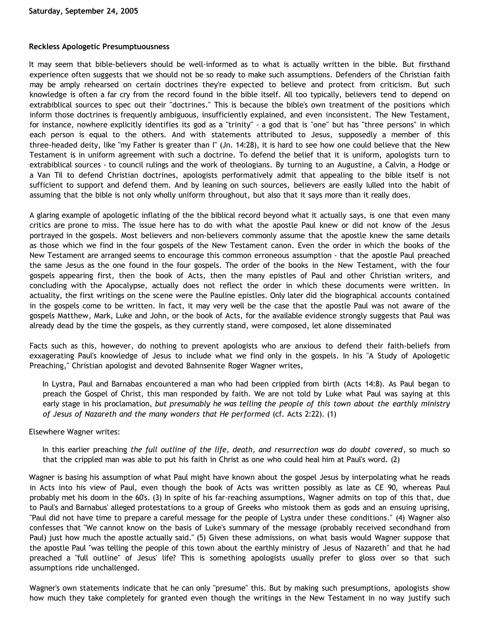## **Reckless Apologetic Presumptuousness**

It may seem that bible-believers should be well-informed as to what is actually written in the bible. But firsthand experience often suggests that we should not be so ready to make such assumptions. Defenders of the Christian faith may be amply rehearsed on certain doctrines they're expected to believe and protect from criticism. But such knowledge is often a far cry from the record found in the bible itself. All too typically, believers tend to depend on extrabiblical sources to spec out their "doctrines." This is because the bible's own treatment of the positions which inform those doctrines is frequently ambiguous, insufficiently explained, and even inconsistent. The New Testament, for instance, nowhere explicitly identifies its god as a "trinity" - a god that is "one" but has "three persons" in which each person is equal to the others. And with statements attributed to Jesus, supposedly a member of this three-headed deity, like "my Father is greater than I" (Jn. 14:28), it is hard to see how one could believe that the New Testament is in uniform agreement with such a doctrine. To defend the belief that it is uniform, apologists turn to extrabiblical sources - to council rulings and the work of theologians. By turning to an Augustine, a Calvin, a Hodge or a Van Til to defend Christian doctrines, apologists performatively admit that appealing to the bible itself is not sufficient to support and defend them. And by leaning on such sources, believers are easily lulled into the habit of assuming that the bible is not only wholly uniform throughout, but also that it says more than it really does.

A glaring example of apologetic inflating of the the biblical record beyond what it actually says, is one that even many critics are prone to miss. The issue here has to do with what the apostle Paul knew or did not know of the Jesus portrayed in the gospels. Most believers and non-believers commonly assume that the apostle knew the same details as those which we find in the four gospels of the New Testament canon. Even the order in which the books of the New Testament are arranged seems to encourage this common erroneous assumption - that the apostle Paul preached the same Jesus as the one found in the four gospels. The order of the books in the New Testament, with the four gospels appearing first, then the book of Acts, then the many epistles of Paul and other Christian writers, and concluding with the Apocalypse, actually does not reflect the order in which these documents were written. In actuality, the first writings on the scene were the Pauline epistles. Only later did the biographical accounts contained in the gospels come to be written. In fact, it may very well be the case that the apostle Paul was not aware of the gospels Matthew, Mark, Luke and John, or the book of Acts, for the available evidence strongly suggests that Paul was already dead by the time the gospels, as they currently stand, were composed, let alone disseminated

Facts such as this, however, do nothing to prevent apologists who are anxious to defend their faith-beliefs from exxagerating Paul's knowledge of Jesus to include what we find only in the gospels. In his "A Study of Apologetic Preaching," Christian apologist and devoted Bahnsenite Roger Wagner writes,

In Lystra, Paul and Barnabas encountered a man who had been crippled from birth (Acts 14:8). As Paul began to preach the Gospel of Christ, this man responded by faith. We are not told by Luke what Paul was saying at this early stage in his proclamation, *but presumably he was telling the people of this town about the earthly ministry of Jesus of Nazareth and the many wonders that He performed* (cf. Acts 2:22). (1)

Elsewhere Wagner writes:

In this earlier preaching *the full outline of the life, death, and resurrection was do doubt covered*, so much so that the crippled man was able to put his faith in Christ as one who could heal him at Paul's word. (2)

Wagner is basing his assumption of what Paul might have known about the gospel Jesus by interpolating what he reads in Acts into his view of Paul, even though the book of Acts was written possibly as late as CE 90, whereas Paul probably met his doom in the 60's. (3) In spite of his far-reaching assumptions, Wagner admits on top of this that, due to Paul's and Barnabus' alleged protestations to a group of Greeks who mistook them as gods and an ensuing uprising, "Paul did not have time to prepare a careful message for the people of Lystra under these conditions." (4) Wagner also confesses that "We cannot know on the basis of Luke's summary of the message (probably received secondhand from Paul) just how much the apostle actually said." (5) Given these admissions, on what basis would Wagner suppose that the apostle Paul "was telling the people of this town about the earthly ministry of Jesus of Nazareth" and that he had preached a "full outline" of Jesus' life? This is something apologists usually prefer to gloss over so that such assumptions ride unchallenged.

Wagner's own statements indicate that he can only "presume" this. But by making such presumptions, apologists show how much they take completely for granted even though the writings in the New Testament in no way justify such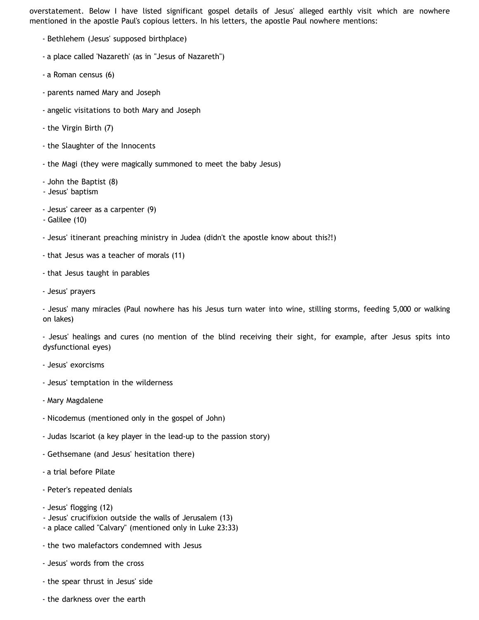overstatement. Below I have listed significant gospel details of Jesus' alleged earthly visit which are nowhere mentioned in the apostle Paul's copious letters. In his letters, the apostle Paul nowhere mentions:

- Bethlehem (Jesus' supposed birthplace)
- a place called 'Nazareth' (as in "Jesus of Nazareth")
- a Roman census (6)
- parents named Mary and Joseph
- angelic visitations to both Mary and Joseph
- the Virgin Birth (7)
- the Slaughter of the Innocents
- the Magi (they were magically summoned to meet the baby Jesus)
- John the Baptist (8)
- Jesus' baptism
- Jesus' career as a carpenter (9)
- Galilee (10)
- Jesus' itinerant preaching ministry in Judea (didn't the apostle know about this?!)
- that Jesus was a teacher of morals (11)
- that Jesus taught in parables
- Jesus' prayers

- Jesus' many miracles (Paul nowhere has his Jesus turn water into wine, stilling storms, feeding 5,000 or walking on lakes)

- Jesus' healings and cures (no mention of the blind receiving their sight, for example, after Jesus spits into dysfunctional eyes)

- Jesus' exorcisms
- Jesus' temptation in the wilderness
- Mary Magdalene
- Nicodemus (mentioned only in the gospel of John)
- Judas Iscariot (a key player in the lead-up to the passion story)
- Gethsemane (and Jesus' hesitation there)
- a trial before Pilate
- Peter's repeated denials
- Jesus' flogging (12)
- Jesus' crucifixion outside the walls of Jerusalem (13)
- a place called "Calvary" (mentioned only in Luke 23:33)
- the two malefactors condemned with Jesus
- Jesus' words from the cross
- the spear thrust in Jesus' side
- the darkness over the earth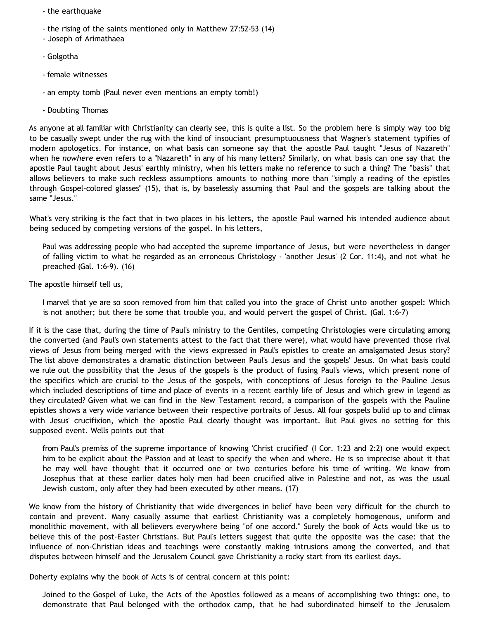- the earthquake
- the rising of the saints mentioned only in Matthew 27:52-53 (14)
- Joseph of Arimathaea
- Golgotha
- female witnesses
- an empty tomb (Paul never even mentions an empty tomb!)
- Doubting Thomas

As anyone at all familiar with Christianity can clearly see, this is quite a list. So the problem here is simply way too big to be casually swept under the rug with the kind of insouciant presumptuousness that Wagner's statement typifies of modern apologetics. For instance, on what basis can someone say that the apostle Paul taught "Jesus of Nazareth" when he *nowhere* even refers to a "Nazareth" in any of his many letters? Similarly, on what basis can one say that the apostle Paul taught about Jesus' earthly ministry, when his letters make no reference to such a thing? The "basis" that allows believers to make such reckless assumptions amounts to nothing more than "simply a reading of the epistles through Gospel-colored glasses" (15), that is, by baselessly assuming that Paul and the gospels are talking about the same "Jesus."

What's very striking is the fact that in two places in his letters, the apostle Paul warned his intended audience about being seduced by competing versions of the gospel. In his letters,

Paul was addressing people who had accepted the supreme importance of Jesus, but were nevertheless in danger of falling victim to what he regarded as an erroneous Christology - 'another Jesus' (2 Cor. 11:4), and not what he preached (Gal. 1:6-9). (16)

The apostle himself tell us,

I marvel that ye are so soon removed from him that called you into the grace of Christ unto another gospel: Which is not another; but there be some that trouble you, and would pervert the gospel of Christ. (Gal. 1:6-7)

If it is the case that, during the time of Paul's ministry to the Gentiles, competing Christologies were circulating among the converted (and Paul's own statements attest to the fact that there were), what would have prevented those rival views of Jesus from being merged with the views expressed in Paul's epistles to create an amalgamated Jesus story? The list above demonstrates a dramatic distinction between Paul's Jesus and the gospels' Jesus. On what basis could we rule out the possibility that the Jesus of the gospels is the product of fusing Paul's views, which present none of the specifics which are crucial to the Jesus of the gospels, with conceptions of Jesus foreign to the Pauline Jesus which included descriptions of time and place of events in a recent earthly life of Jesus and which grew in legend as they circulated? Given what we can find in the New Testament record, a comparison of the gospels with the Pauline epistles shows a very wide variance between their respective portraits of Jesus. All four gospels bulid up to and climax with Jesus' crucifixion, which the apostle Paul clearly thought was important. But Paul gives no setting for this supposed event. Wells points out that

from Paul's premiss of the supreme importance of knowing 'Christ crucified' (I Cor. 1:23 and 2:2) one would expect him to be explicit about the Passion and at least to specify the when and where. He is so imprecise about it that he may well have thought that it occurred one or two centuries before his time of writing. We know from Josephus that at these earlier dates holy men had been crucified alive in Palestine and not, as was the usual Jewish custom, only after they had been executed by other means. (17)

We know from the history of Christianity that wide divergences in belief have been very difficult for the church to contain and prevent. Many casually assume that earliest Christianity was a completely homogenous, uniform and monolithic movement, with all believers everywhere being "of one accord." Surely the book of Acts would like us to believe this of the post-Easter Christians. But Paul's letters suggest that quite the opposite was the case: that the influence of non-Christian ideas and teachings were constantly making intrusions among the converted, and that disputes between himself and the Jerusalem Council gave Christianity a rocky start from its earliest days.

Doherty explains why the book of Acts is of central concern at this point:

Joined to the Gospel of Luke, the Acts of the Apostles followed as a means of accomplishing two things: one, to demonstrate that Paul belonged with the orthodox camp, that he had subordinated himself to the Jerusalem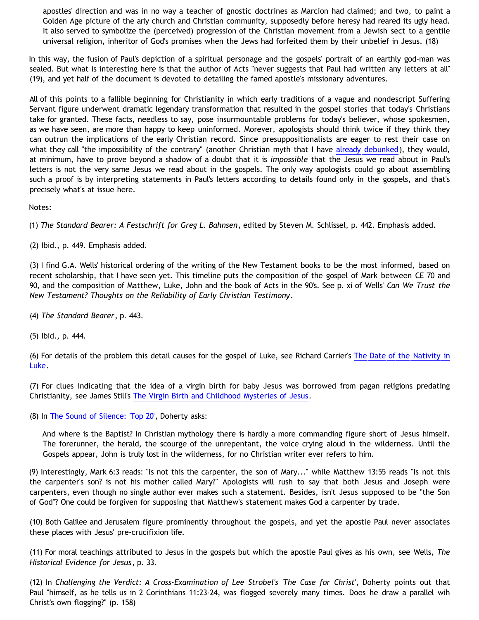apostles' direction and was in no way a teacher of gnostic doctrines as Marcion had claimed; and two, to paint a Golden Age picture of the arly church and Christian community, supposedly before heresy had reared its ugly head. It also served to symbolize the (perceived) progression of the Christian movement from a Jewish sect to a gentile universal religion, inheritor of God's promises when the Jews had forfeited them by their unbelief in Jesus. (18)

In this way, the fusion of Paul's depiction of a spiritual personage and the gospels' portrait of an earthly god-man was sealed. But what is interesting here is that the author of Acts "never suggests that Paul had written any letters at all" (19), and yet half of the document is devoted to detailing the famed apostle's missionary adventures.

All of this points to a fallible beginning for Christianity in which early traditions of a vague and nondescript Suffering Servant figure underwent dramatic legendary transformation that resulted in the gospel stories that today's Christians take for granted. These facts, needless to say, pose insurmountable problems for today's believer, whose spokesmen, as we have seen, are more than happy to keep uninformed. Morever, apologists should think twice if they think they can outrun the implications of the early Christian record. Since presuppositionalists are eager to rest their case on what they call "the impossibility of the contrary" (another Christian myth that I have [already debunked](http://bahnsenburner.blogspot.com/2005/09/is-contrary-to-christianity-truly.html)), they would, at minimum, have to prove beyond a shadow of a doubt that it is *impossible* that the Jesus we read about in Paul's letters is not the very same Jesus we read about in the gospels. The only way apologists could go about assembling such a proof is by interpreting statements in Paul's letters according to details found only in the gospels, and that's precisely what's at issue here.

Notes:

(1) *The Standard Bearer: A Festschrift for Greg L. Bahnsen*, edited by Steven M. Schlissel, p. 442. Emphasis added.

(2) Ibid., p. 449. Emphasis added.

(3) I find G.A. Wells' historical ordering of the writing of the New Testament books to be the most informed, based on recent scholarship, that I have seen yet. This timeline puts the composition of the gospel of Mark between CE 70 and 90, and the composition of Matthew, Luke, John and the book of Acts in the 90's. See p. xi of Wells' *Can We Trust the New Testament? Thoughts on the Reliability of Early Christian Testimony*.

(4) *The Standard Bearer*, p. 443.

(5) Ibid., p. 444.

(6) For details of the problem this detail causes for the gospel of Luke, see Richard Carrier's [The Date of the Nativity in](http://www.infidels.org/library/modern/richard_carrier/quirinius.html) [Luke](http://www.infidels.org/library/modern/richard_carrier/quirinius.html).

(7) For clues indicating that the idea of a virgin birth for baby Jesus was borrowed from pagan religions predating Christianity, see James Still's [The Virgin Birth and Childhood Mysteries of Jesus.](http://www.infidels.org/library/modern/james_still/virgin_birth.html)

(8) In [The Sound of Silence: 'Top 20'](http://pages.ca.inter.net/~oblio/siltop20.htm), Doherty asks:

And where is the Baptist? In Christian mythology there is hardly a more commanding figure short of Jesus himself. The forerunner, the herald, the scourge of the unrepentant, the voice crying aloud in the wilderness. Until the Gospels appear, John is truly lost in the wilderness, for no Christian writer ever refers to him.

(9) Interestingly, Mark 6:3 reads: "Is not this the carpenter, the son of Mary..." while Matthew 13:55 reads "Is not this the carpenter's son? is not his mother called Mary?" Apologists will rush to say that both Jesus and Joseph were carpenters, even though no single author ever makes such a statement. Besides, isn't Jesus supposed to be "the Son of God"? One could be forgiven for supposing that Matthew's statement makes God a carpenter by trade.

(10) Both Galilee and Jerusalem figure prominently throughout the gospels, and yet the apostle Paul never associates these places with Jesus' pre-crucifixion life.

(11) For moral teachings attributed to Jesus in the gospels but which the apostle Paul gives as his own, see Wells, *The Historical Evidence for Jesus*, p. 33.

(12) In *Challenging the Verdict: A Cross-Examination of Lee Strobel's 'The Case for Christ'*, Doherty points out that Paul "himself, as he tells us in 2 Corinthians 11:23-24, was flogged severely many times. Does he draw a parallel wih Christ's own flogging?" (p. 158)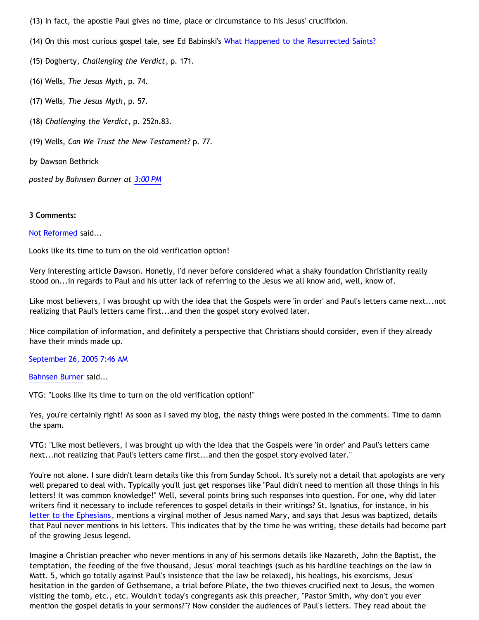- (13) In fact, the apostle Paul gives no time, place or circumstance to his Jesus' crucifixion.
- (14) On this most curious gospel tale, see Ed Babinski's [What Happened to the Resurrected Saints?](http://www.infidels.org/library/magazines/tsr/1992/1/1saint92.html)
- (15) Dogherty, *Challenging the Verdict*, p. 171.
- (16) Wells, *The Jesus Myth*, p. 74.
- (17) Wells, *The Jesus Myth*, p. 57.
- (18) *Challenging the Verdict*, p. 252n.83.
- (19) Wells, *Can We Trust the New Testament?* p. 77.

by Dawson Bethrick

*posted by Bahnsen Burner at [3:00 PM](http://bahnsenburner.blogspot.com/2005/09/reckless-apologetic-presumptuousness.html)*

## **3 Comments:**

## [Not Reformed](http://www.blogger.com/profile/8159639) said...

Looks like its time to turn on the old verification option!

Very interesting article Dawson. Honetly, I'd never before considered what a shaky foundation Christianity really stood on...in regards to Paul and his utter lack of referring to the Jesus we all know and, well, know of.

Like most believers, I was brought up with the idea that the Gospels were 'in order' and Paul's letters came next...not realizing that Paul's letters came first...and then the gospel story evolved later.

Nice compilation of information, and definitely a perspective that Christians should consider, even if they already have their minds made up.

## [September 26, 2005 7:46 AM](http://bahnsenburner.blogspot.com/2005/09/112774601921065118)

[Bahnsen Burner](http://www.blogger.com/profile/7766918) said...

VTG: "Looks like its time to turn on the old verification option!"

Yes, you're certainly right! As soon as I saved my blog, the nasty things were posted in the comments. Time to damn the spam.

VTG: "Like most believers, I was brought up with the idea that the Gospels were 'in order' and Paul's letters came next...not realizing that Paul's letters came first...and then the gospel story evolved later."

You're not alone. I sure didn't learn details like this from Sunday School. It's surely not a detail that apologists are very well prepared to deal with. Typically you'll just get responses like "Paul didn't need to mention all those things in his letters! It was common knowledge!" Well, several points bring such responses into question. For one, why did later writers find it necessary to include references to gospel details in their writings? St. Ignatius, for instance, in his [letter to the Ephesians,](http://www.earlychristianwritings.com/srawley/ephesians.html) mentions a virginal mother of Jesus named Mary, and says that Jesus was baptized, details that Paul never mentions in his letters. This indicates that by the time he was writing, these details had become part of the growing Jesus legend.

Imagine a Christian preacher who never mentions in any of his sermons details like Nazareth, John the Baptist, the temptation, the feeding of the five thousand, Jesus' moral teachings (such as his hardline teachings on the law in Matt. 5, which go totally against Paul's insistence that the law be relaxed), his healings, his exorcisms, Jesus' hesitation in the garden of Gethsemane, a trial before Pilate, the two thieves crucified next to Jesus, the women visiting the tomb, etc., etc. Wouldn't today's congregants ask this preacher, "Pastor Smith, why don't you ever mention the gospel details in your sermons?"? Now consider the audiences of Paul's letters. They read about the